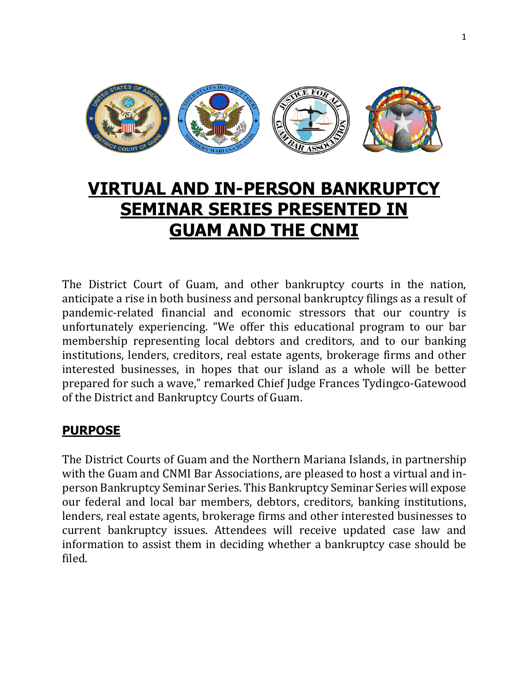

# **VIRTUAL AND IN-PERSON BANKRUPTCY SEMINAR SERIES PRESENTED IN GUAM AND THE CNMI**

The District Court of Guam, and other bankruptcy courts in the nation, anticipate a rise in both business and personal bankruptcy filings as a result of pandemic-related financial and economic stressors that our country is unfortunately experiencing. "We offer this educational program to our bar membership representing local debtors and creditors, and to our banking institutions, lenders, creditors, real estate agents, brokerage firms and other interested businesses, in hopes that our island as a whole will be better prepared for such a wave," remarked Chief Judge Frances Tydingco-Gatewood of the District and Bankruptcy Courts of Guam.

# **PURPOSE**

The District Courts of Guam and the Northern Mariana Islands, in partnership with the Guam and CNMI Bar Associations, are pleased to host a virtual and inperson Bankruptcy Seminar Series. This Bankruptcy Seminar Series will expose our federal and local bar members, debtors, creditors, banking institutions, lenders, real estate agents, brokerage firms and other interested businesses to current bankruptcy issues. Attendees will receive updated case law and information to assist them in deciding whether a bankruptcy case should be filed.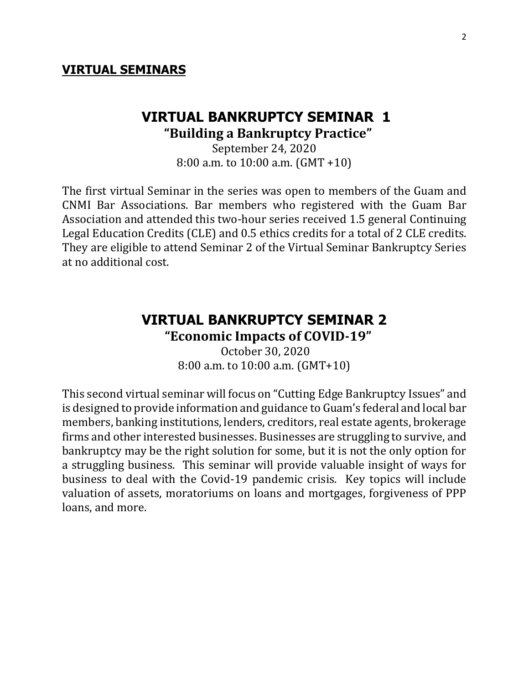#### **VIRTUAL SEMINARS**

#### **VIRTUAL BANKRUPTCY SEMINAR 1 "Building a Bankruptcy Practice"**

September 24, 2020 8:00 a.m. to 10:00 a.m. (GMT +10)

The first virtual Seminar in the series was open to members of the Guam and CNMI Bar Associations. Bar members who registered with the Guam Bar Association and attended this two-hour series received 1.5 general Continuing Legal Education Credits (CLE) and 0.5 ethics credits for a total of 2 CLE credits. They are eligible to attend Seminar 2 of the Virtual Seminar Bankruptcy Series at no additional cost.

## **VIRTUAL BANKRUPTCY SEMINAR 2 "Economic Impacts of COVID-19"**

October 30, 2020 8:00 a.m. to 10:00 a.m. (GMT+10)

This second virtual seminar will focus on "Cutting Edge Bankruptcy Issues" and is designed to provide information and guidance to Guam's federal and local bar members, banking institutions, lenders, creditors, real estate agents, brokerage firms and other interested businesses. Businesses are struggling to survive, and bankruptcy may be the right solution for some, but it is not the only option for a struggling business. This seminar will provide valuable insight of ways for business to deal with the Covid-19 pandemic crisis. Key topics will include valuation of assets, moratoriums on loans and mortgages, forgiveness of PPP loans, and more.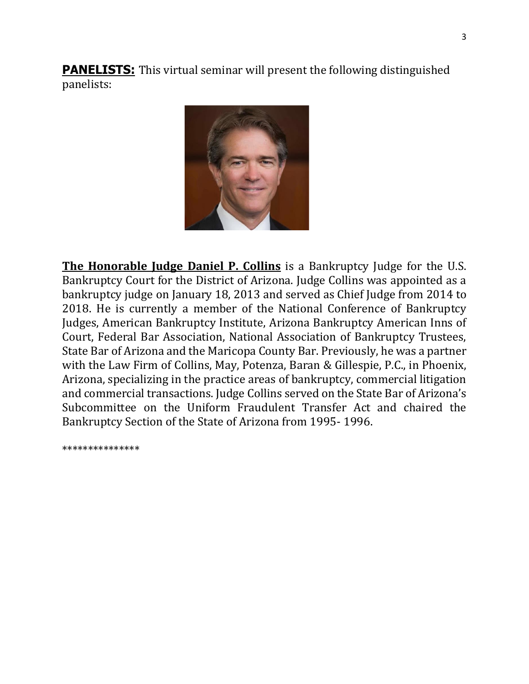**PANELISTS:** This virtual seminar will present the following distinguished panelists:



**The Honorable Judge Daniel P. Collins** is a Bankruptcy Judge for the U.S. Bankruptcy Court for the District of Arizona. Judge Collins was appointed as a bankruptcy judge on January 18, 2013 and served as Chief Judge from 2014 to 2018. He is currently a member of the National Conference of Bankruptcy Judges, American Bankruptcy Institute, Arizona Bankruptcy American Inns of Court, Federal Bar Association, National Association of Bankruptcy Trustees, State Bar of Arizona and the Maricopa County Bar. Previously, he was a partner with the Law Firm of Collins, May, Potenza, Baran & Gillespie, P.C., in Phoenix, Arizona, specializing in the practice areas of bankruptcy, commercial litigation and commercial transactions. Judge Collins served on the State Bar of Arizona's Subcommittee on the Uniform Fraudulent Transfer Act and chaired the Bankruptcy Section of the State of Arizona from 1995- 1996.

\*\*\*\*\*\*\*\*\*\*\*\*\*\*\*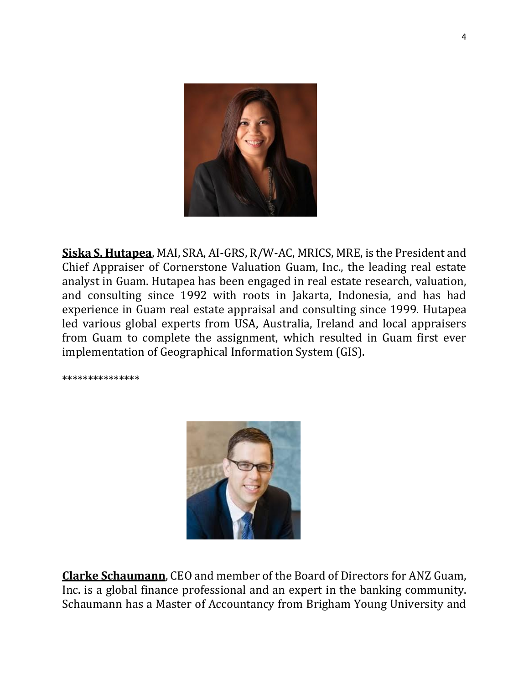

**Siska S. Hutapea**, MAI, SRA, AI-GRS, R/W-AC, MRICS, MRE, is the President and Chief Appraiser of Cornerstone Valuation Guam, Inc., the leading real estate analyst in Guam. Hutapea has been engaged in real estate research, valuation, and consulting since 1992 with roots in Jakarta, Indonesia, and has had experience in Guam real estate appraisal and consulting since 1999. Hutapea led various global experts from USA, Australia, Ireland and local appraisers from Guam to complete the assignment, which resulted in Guam first ever implementation of Geographical Information System (GIS).

\*\*\*\*\*\*\*\*\*\*\*\*\*\*\*



**Clarke Schaumann**, CEO and member of the Board of Directors for ANZ Guam, Inc. is a global finance professional and an expert in the banking community. Schaumann has a Master of Accountancy from Brigham Young University and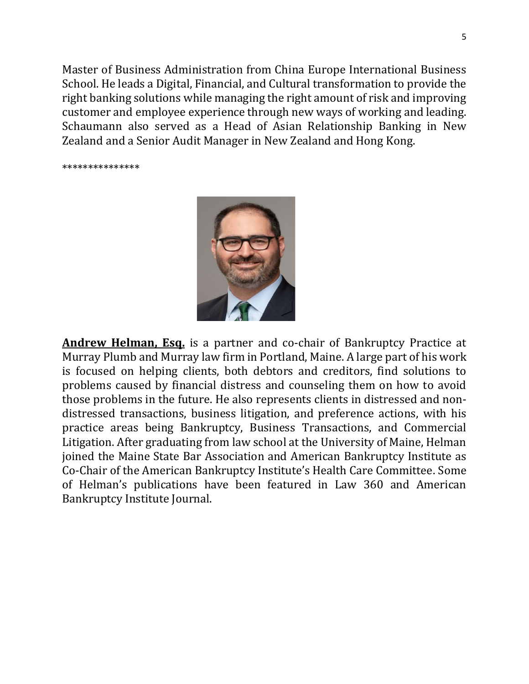Master of Business Administration from China Europe International Business School. He leads a Digital, Financial, and Cultural transformation to provide the right banking solutions while managing the right amount of risk and improving customer and employee experience through new ways of working and leading. Schaumann also served as a Head of Asian Relationship Banking in New Zealand and a Senior Audit Manager in New Zealand and Hong Kong.

\*\*\*\*\*\*\*\*\*\*\*\*\*\*\*



**Andrew Helman, Esq.** is a partner and co-chair of Bankruptcy Practice at Murray Plumb and Murray law firm in Portland, Maine. A large part of his work is focused on helping clients, both debtors and creditors, find solutions to problems caused by financial distress and counseling them on how to avoid those problems in the future. He also represents clients in distressed and nondistressed transactions, business litigation, and preference actions, with his practice areas being Bankruptcy, Business Transactions, and Commercial Litigation. After graduating from law school at the University of Maine, Helman joined the Maine State Bar Association and American Bankruptcy Institute as Co-Chair of the American Bankruptcy Institute's Health Care Committee. Some of Helman's publications have been featured in Law 360 and American Bankruptcy Institute Journal.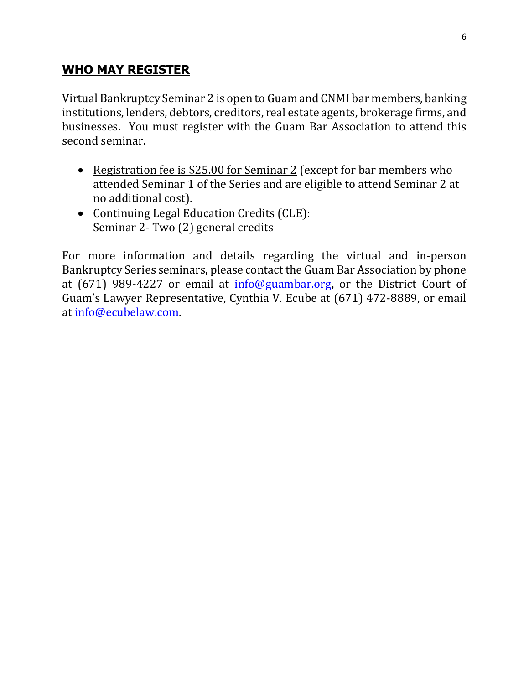# **WHO MAY REGISTER**

Virtual Bankruptcy Seminar 2 is open to Guam and CNMI bar members, banking institutions, lenders, debtors, creditors, real estate agents, brokerage firms, and businesses. You must register with the Guam Bar Association to attend this second seminar.

- Registration fee is \$25.00 for Seminar 2 (except for bar members who attended Seminar 1 of the Series and are eligible to attend Seminar 2 at no additional cost).
- Continuing Legal Education Credits (CLE): Seminar 2- Two (2) general credits

For more information and details regarding the virtual and in-person Bankruptcy Series seminars, please contact the Guam Bar Association by phone at (671) 989-4227 or email at info@guambar.org, or the District Court of Guam's Lawyer Representative, Cynthia V. Ecube at (671) 472-8889, or email at info@ecubelaw.com.